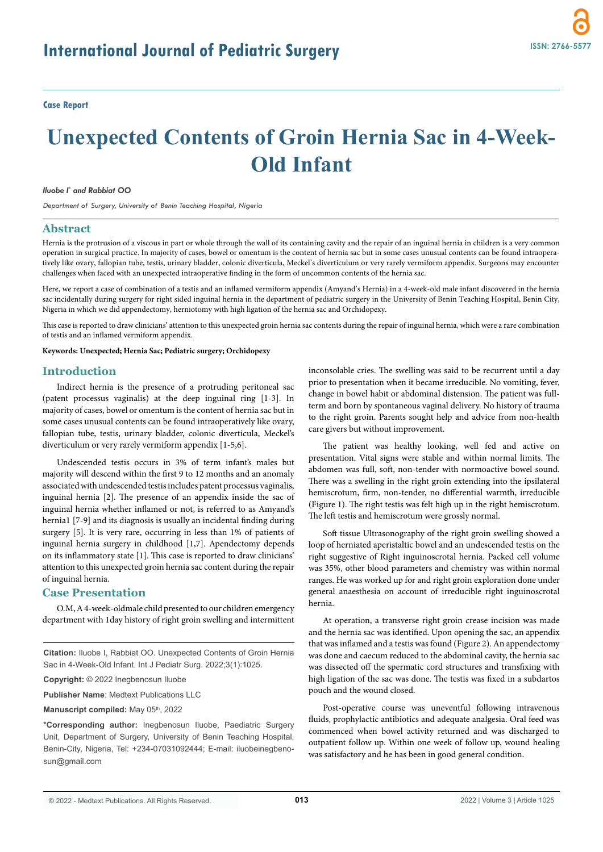**Case Report**

# **Unexpected Contents of Groin Hernia Sac in 4-Week-Old Infant**

#### *Iluobe I\* and Rabbiat OO*

*Department of Surgery, University of Benin Teaching Hospital, Nigeria*

### **Abstract**

Hernia is the protrusion of a viscous in part or whole through the wall of its containing cavity and the repair of an inguinal hernia in children is a very common operation in surgical practice. In majority of cases, bowel or omentum is the content of hernia sac but in some cases unusual contents can be found intraoperatively like ovary, fallopian tube, testis, urinary bladder, colonic diverticula, Meckel's diverticulum or very rarely vermiform appendix. Surgeons may encounter challenges when faced with an unexpected intraoperative finding in the form of uncommon contents of the hernia sac.

Here, we report a case of combination of a testis and an inflamed vermiform appendix (Amyand's Hernia) in a 4-week-old male infant discovered in the hernia sac incidentally during surgery for right sided inguinal hernia in the department of pediatric surgery in the University of Benin Teaching Hospital, Benin City, Nigeria in which we did appendectomy, herniotomy with high ligation of the hernia sac and Orchidopexy.

This case is reported to draw clinicians' attention to this unexpected groin hernia sac contents during the repair of inguinal hernia, which were a rare combination of testis and an inflamed vermiform appendix.

#### **Keywords: Unexpected; Hernia Sac; Pediatric surgery; Orchidopexy**

### **Introduction**

Indirect hernia is the presence of a protruding peritoneal sac (patent processus vaginalis) at the deep inguinal ring [1-3]. In majority of cases, bowel or omentum is the content of hernia sac but in some cases unusual contents can be found intraoperatively like ovary, fallopian tube, testis, urinary bladder, colonic diverticula, Meckel's diverticulum or very rarely vermiform appendix [1-5,6].

Undescended testis occurs in 3% of term infant's males but majority will descend within the first 9 to 12 months and an anomaly associated with undescended testis includes patent processus vaginalis, inguinal hernia [2]. The presence of an appendix inside the sac of inguinal hernia whether inflamed or not, is referred to as Amyand's hernia1 [7-9] and its diagnosis is usually an incidental finding during surgery [5]. It is very rare, occurring in less than 1% of patients of inguinal hernia surgery in childhood [1,7]. Apendectomy depends on its inflammatory state [1]. This case is reported to draw clinicians' attention to this unexpected groin hernia sac content during the repair of inguinal hernia.

#### **Case Presentation**

O.M, A 4-week-oldmale child presented to our children emergency department with 1day history of right groin swelling and intermittent

**Citation:** Iluobe I, Rabbiat OO. Unexpected Contents of Groin Hernia Sac in 4-Week-Old Infant. Int J Pediatr Surg. 2022;3(1):1025.

**Copyright:** © 2022 Inegbenosun Iluobe

**Publisher Name**: Medtext Publications LLC

**Manuscript compiled:** May 05th, 2022

**\*Corresponding author:** Inegbenosun Iluobe, Paediatric Surgery Unit, Department of Surgery, University of Benin Teaching Hospital, Benin-City, Nigeria, Tel: +234-07031092444; E-mail: iluobeinegbenosun@gmail.com

inconsolable cries. The swelling was said to be recurrent until a day prior to presentation when it became irreducible. No vomiting, fever, change in bowel habit or abdominal distension. The patient was fullterm and born by spontaneous vaginal delivery. No history of trauma to the right groin. Parents sought help and advice from non-health care givers but without improvement.

The patient was healthy looking, well fed and active on presentation. Vital signs were stable and within normal limits. The abdomen was full, soft, non-tender with normoactive bowel sound. There was a swelling in the right groin extending into the ipsilateral hemiscrotum, firm, non-tender, no differential warmth, irreducible (Figure 1). The right testis was felt high up in the right hemiscrotum. The left testis and hemiscrotum were grossly normal.

Soft tissue Ultrasonography of the right groin swelling showed a loop of herniated aperistaltic bowel and an undescended testis on the right suggestive of Right inguinoscrotal hernia. Packed cell volume was 35%, other blood parameters and chemistry was within normal ranges. He was worked up for and right groin exploration done under general anaesthesia on account of irreducible right inguinoscrotal hernia.

At operation, a transverse right groin crease incision was made and the hernia sac was identified. Upon opening the sac, an appendix that was inflamed and a testis was found (Figure 2). An appendectomy was done and caecum reduced to the abdominal cavity, the hernia sac was dissected off the spermatic cord structures and transfixing with high ligation of the sac was done. The testis was fixed in a subdartos pouch and the wound closed.

Post-operative course was uneventful following intravenous fluids, prophylactic antibiotics and adequate analgesia. Oral feed was commenced when bowel activity returned and was discharged to outpatient follow up. Within one week of follow up, wound healing was satisfactory and he has been in good general condition.